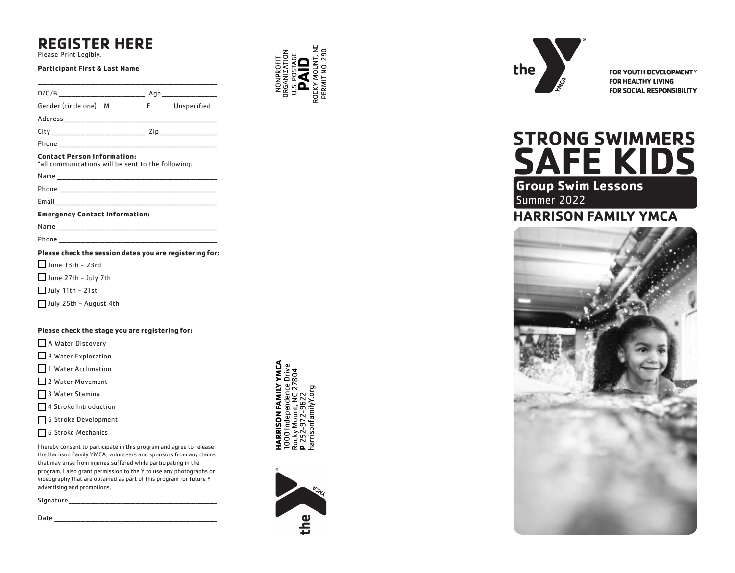# **REGISTER HERE**

Please Print Legibly.

#### **Participant First & Last Name**

| Gender (circle one) M                                                                                                                                                                                                          |  | F Unspecified |
|--------------------------------------------------------------------------------------------------------------------------------------------------------------------------------------------------------------------------------|--|---------------|
|                                                                                                                                                                                                                                |  |               |
|                                                                                                                                                                                                                                |  |               |
|                                                                                                                                                                                                                                |  |               |
| <b>Contact Person Information:</b><br>*all communications will be sent to the following:                                                                                                                                       |  |               |
| Name and the contract of the contract of the contract of the contract of the contract of the contract of the contract of the contract of the contract of the contract of the contract of the contract of the contract of the c |  |               |
|                                                                                                                                                                                                                                |  |               |
|                                                                                                                                                                                                                                |  |               |
| <b>Emergency Contact Information:</b>                                                                                                                                                                                          |  |               |
|                                                                                                                                                                                                                                |  |               |
|                                                                                                                                                                                                                                |  |               |
| Please check the session dates you are registering for:                                                                                                                                                                        |  |               |

 $\Box$  June 13th - 23rd

June 27th - July 7th

July 11th - 21st

July 25th - August 4th

#### **Please check the stage you are registering for:**

A Water Discovery

B Water Exploration

1 Water Acclimation

2 Water Movement

- 3 Water Stamina
- □ 4 Stroke Introduction
- 5 Stroke Development
- 6 Stroke Mechanics

I hereby consent to participate in this program and agree to release the Harrison Family YMCA, volunteers and sponsors from any claims that may arise from injuries suffered while participating in the program. I also grant permission to the Y to use any photographs or videography that are obtained as part of this program for future Y advertising and promotions.

| Signature |  |
|-----------|--|
|           |  |

Date \_\_\_\_\_\_\_\_\_\_\_\_\_\_\_\_\_\_\_\_\_\_\_\_\_\_\_\_\_\_\_\_\_\_\_\_\_\_\_\_\_\_\_\_\_\_\_\_\_\_\_\_\_\_\_\_\_\_\_\_\_\_\_\_\_\_\_\_



NONPROFIT ORGANIZATION U.S. POSTAGE **PAID** ROCKY MOUNT, NC PERMIT NO. 290

**JONPROF** 

PERMIT NO. 290





FOR YOUTH DEVELOPMENT® **FOR HEALTHY LIVING** FOR SOCIAL RESPONSIBILITY

# **Group Swim Lessons STRONG SWIMMERS SAFE KIDS**

Summer 2022

# **HARRISON FAMILY YMCA**